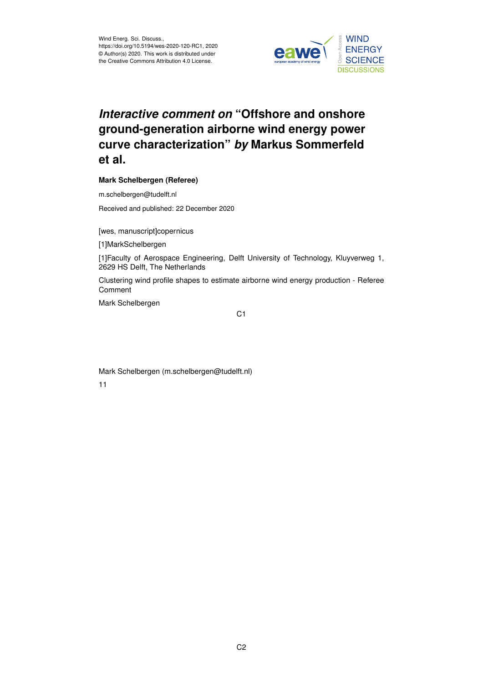

# *Interactive comment on* **"Offshore and onshore ground-generation airborne wind energy power curve characterization"** *by* **Markus Sommerfeld et al.**

# **Mark Schelbergen (Referee)**

m.schelbergen@tudelft.nl

Received and published: 22 December 2020

[wes, manuscript]copernicus

[1]MarkSchelbergen

[1]Faculty of Aerospace Engineering, Delft University of Technology, Kluyverweg 1, 2629 HS Delft, The Netherlands

Clustering wind profile shapes to estimate airborne wind energy production - Referee Comment

Mark Schelbergen

C<sub>1</sub>

Mark Schelbergen (m.schelbergen@tudelft.nl) 11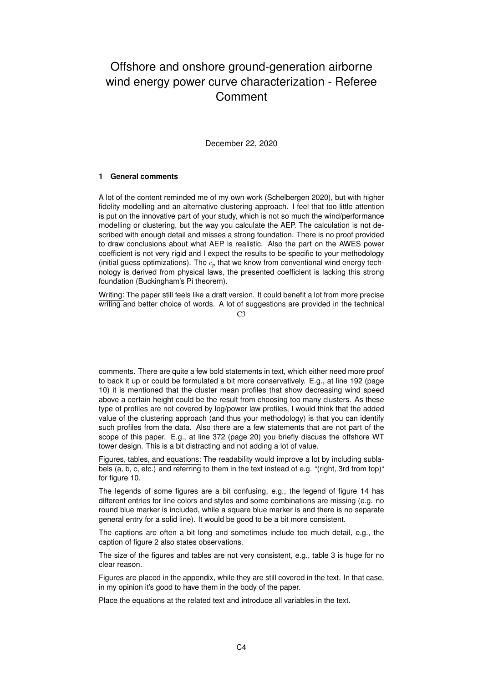# Offshore and onshore ground-generation airborne wind energy power curve characterization - Referee **Comment**

December 22, 2020

# **1 General comments**

A lot of the content reminded me of my own work (Schelbergen 2020), but with higher fidelity modelling and an alternative clustering approach. I feel that too little attention is put on the innovative part of your study, which is not so much the wind/performance modelling or clustering, but the way you calculate the AEP. The calculation is not described with enough detail and misses a strong foundation. There is no proof provided to draw conclusions about what AEP is realistic. Also the part on the AWES power coefficient is not very rigid and I expect the results to be specific to your methodology (initial guess optimizations). The  $c_p$  that we know from conventional wind energy technology is derived from physical laws, the presented coefficient is lacking this strong foundation (Buckingham's Pi theorem).

Writing: The paper still feels like a draft version. It could benefit a lot from more precise writing and better choice of words. A lot of suggestions are provided in the technical

 $C<sub>3</sub>$ 

comments. There are quite a few bold statements in text, which either need more proof to back it up or could be formulated a bit more conservatively. E.g., at line 192 (page 10) it is mentioned that the cluster mean profiles that show decreasing wind speed above a certain height could be the result from choosing too many clusters. As these type of profiles are not covered by log/power law profiles, I would think that the added value of the clustering approach (and thus your methodology) is that you can identify such profiles from the data. Also there are a few statements that are not part of the scope of this paper. E.g., at line 372 (page 20) you briefly discuss the offshore WT tower design. This is a bit distracting and not adding a lot of value.

Figures, tables, and equations: The readability would improve a lot by including sublabels (a, b, c, etc.) and referring to them in the text instead of e.g. "(right, 3rd from top)" for figure 10.

The legends of some figures are a bit confusing, e.g., the legend of figure 14 has different entries for line colors and styles and some combinations are missing (e.g. no round blue marker is included, while a square blue marker is and there is no separate general entry for a solid line). It would be good to be a bit more consistent.

The captions are often a bit long and sometimes include too much detail, e.g., the caption of figure 2 also states observations.

The size of the figures and tables are not very consistent, e.g., table 3 is huge for no clear reason.

Figures are placed in the appendix, while they are still covered in the text. In that case, in my opinion it's good to have them in the body of the paper.

Place the equations at the related text and introduce all variables in the text.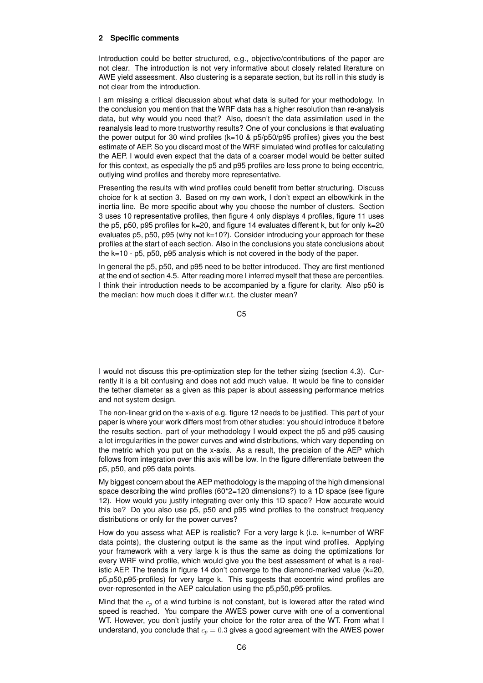# **2 Specific comments**

Introduction could be better structured, e.g., objective/contributions of the paper are not clear. The introduction is not very informative about closely related literature on AWE yield assessment. Also clustering is a separate section, but its roll in this study is not clear from the introduction.

I am missing a critical discussion about what data is suited for your methodology. In the conclusion you mention that the WRF data has a higher resolution than re-analysis data, but why would you need that? Also, doesn't the data assimilation used in the reanalysis lead to more trustworthy results? One of your conclusions is that evaluating the power output for 30 wind profiles (k=10 & p5/p50/p95 profiles) gives you the best estimate of AEP. So you discard most of the WRF simulated wind profiles for calculating the AEP. I would even expect that the data of a coarser model would be better suited for this context, as especially the p5 and p95 profiles are less prone to being eccentric, outlying wind profiles and thereby more representative.

Presenting the results with wind profiles could benefit from better structuring. Discuss choice for k at section 3. Based on my own work, I don't expect an elbow/kink in the inertia line. Be more specific about why you choose the number of clusters. Section 3 uses 10 representative profiles, then figure 4 only displays 4 profiles, figure 11 uses the p5, p50, p95 profiles for k=20, and figure 14 evaluates different k, but for only k=20 evaluates p5, p50, p95 (why not k=10?). Consider introducing your approach for these profiles at the start of each section. Also in the conclusions you state conclusions about the k=10 - p5, p50, p95 analysis which is not covered in the body of the paper.

In general the p5, p50, and p95 need to be better introduced. They are first mentioned at the end of section 4.5. After reading more I inferred myself that these are percentiles. I think their introduction needs to be accompanied by a figure for clarity. Also p50 is the median: how much does it differ w.r.t. the cluster mean?

C5

I would not discuss this pre-optimization step for the tether sizing (section 4.3). Currently it is a bit confusing and does not add much value. It would be fine to consider the tether diameter as a given as this paper is about assessing performance metrics and not system design.

The non-linear grid on the x-axis of e.g. figure 12 needs to be justified. This part of your paper is where your work differs most from other studies: you should introduce it before the results section. part of your methodology I would expect the p5 and p95 causing a lot irregularities in the power curves and wind distributions, which vary depending on the metric which you put on the x-axis. As a result, the precision of the AEP which follows from integration over this axis will be low. In the figure differentiate between the p5, p50, and p95 data points.

My biggest concern about the AEP methodology is the mapping of the high dimensional space describing the wind profiles (60\*2=120 dimensions?) to a 1D space (see figure 12). How would you justify integrating over only this 1D space? How accurate would this be? Do you also use p5, p50 and p95 wind profiles to the construct frequency distributions or only for the power curves?

How do you assess what AEP is realistic? For a very large k (i.e. k=number of WRF data points), the clustering output is the same as the input wind profiles. Applying your framework with a very large k is thus the same as doing the optimizations for every WRF wind profile, which would give you the best assessment of what is a realistic AEP. The trends in figure 14 don't converge to the diamond-marked value (k=20, p5,p50,p95-profiles) for very large k. This suggests that eccentric wind profiles are over-represented in the AEP calculation using the p5,p50,p95-profiles.

Mind that the  $c_p$  of a wind turbine is not constant, but is lowered after the rated wind speed is reached. You compare the AWES power curve with one of a conventional WT. However, you don't justify your choice for the rotor area of the WT. From what I understand, you conclude that  $c_p = 0.3$  gives a good agreement with the AWES power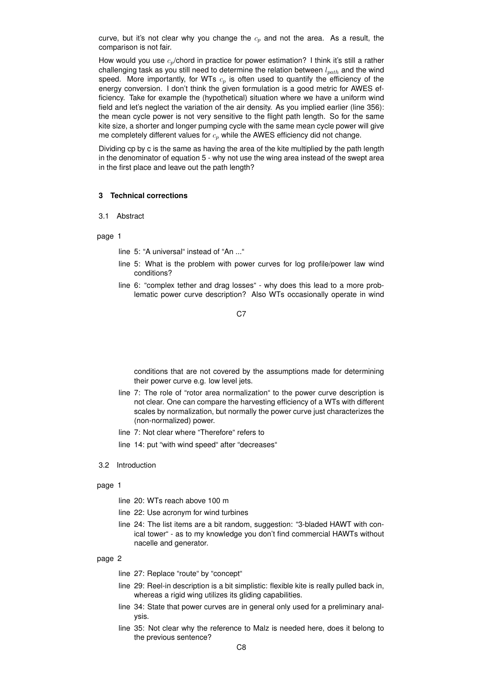curve, but it's not clear why you change the  $c_p$  and not the area. As a result, the comparison is not fair.

How would you use  $c_p$ /chord in practice for power estimation? I think it's still a rather challenging task as you still need to determine the relation between  $l_{nath}$  and the wind speed. More importantly, for WTs  $c_p$  is often used to quantify the efficiency of the energy conversion. I don't think the given formulation is a good metric for AWES efficiency. Take for example the (hypothetical) situation where we have a uniform wind field and let's neglect the variation of the air density. As you implied earlier (line 356): the mean cycle power is not very sensitive to the flight path length. So for the same kite size, a shorter and longer pumping cycle with the same mean cycle power will give me completely different values for  $c_p$  while the AWES efficiency did not change.

Dividing cp by c is the same as having the area of the kite multiplied by the path length in the denominator of equation 5 - why not use the wing area instead of the swept area in the first place and leave out the path length?

# **3 Technical corrections**

# 3.1 Abstract

## page 1

- line 5: "A universal" instead of "An ..."
- line 5: What is the problem with power curves for log profile/power law wind conditions?
- line 6: "complex tether and drag losses" why does this lead to a more problematic power curve description? Also WTs occasionally operate in wind

## C<sub>7</sub>

conditions that are not covered by the assumptions made for determining their power curve e.g. low level jets.

- line 7: The role of "rotor area normalization" to the power curve description is not clear. One can compare the harvesting efficiency of a WTs with different scales by normalization, but normally the power curve just characterizes the (non-normalized) power.
- line 7: Not clear where "Therefore" refers to
- line 14: put "with wind speed" after "decreases"
- 3.2 Introduction

# page 1

- line 20: WTs reach above 100 m
- line 22: Use acronym for wind turbines
- line 24: The list items are a bit random, suggestion: "3-bladed HAWT with conical tower" - as to my knowledge you don't find commercial HAWTs without nacelle and generator.

- line 27: Replace "route" by "concept"
- line 29: Reel-in description is a bit simplistic: flexible kite is really pulled back in, whereas a rigid wing utilizes its gliding capabilities.
- line 34: State that power curves are in general only used for a preliminary analysis.
- line 35: Not clear why the reference to Malz is needed here, does it belong to the previous sentence?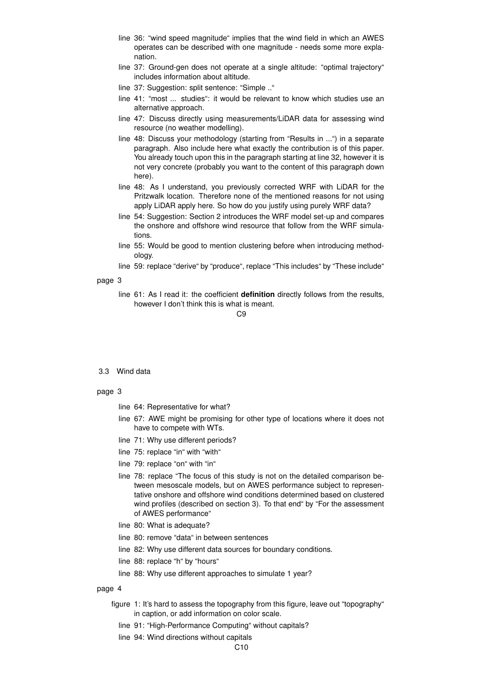- line 36: "wind speed magnitude" implies that the wind field in which an AWES operates can be described with one magnitude - needs some more explanation.
- line 37: Ground-gen does not operate at a single altitude: "optimal trajectory" includes information about altitude.
- line 37: Suggestion: split sentence: "Simple .."
- line 41: "most ... studies": it would be relevant to know which studies use an alternative approach.
- line 47: Discuss directly using measurements/LiDAR data for assessing wind resource (no weather modelling).
- line 48: Discuss your methodology (starting from "Results in ...") in a separate paragraph. Also include here what exactly the contribution is of this paper. You already touch upon this in the paragraph starting at line 32, however it is not very concrete (probably you want to the content of this paragraph down here).
- line 48: As I understand, you previously corrected WRF with LiDAR for the Pritzwalk location. Therefore none of the mentioned reasons for not using apply LiDAR apply here. So how do you justify using purely WRF data?
- line 54: Suggestion: Section 2 introduces the WRF model set-up and compares the onshore and offshore wind resource that follow from the WRF simulations.
- line 55: Would be good to mention clustering before when introducing methodology.
- line 59: replace "derive" by "produce", replace "This includes" by "These include"

line 61: As I read it: the coefficient **definition** directly follows from the results, however I don't think this is what is meant.

# $C9$

#### 3.3 Wind data

## page 3

- line 64: Representative for what?
- line 67: AWE might be promising for other type of locations where it does not have to compete with WTs.
- line 71: Why use different periods?
- line 75: replace "in" with "with"
- line 79: replace "on" with "in"
- line 78: replace "The focus of this study is not on the detailed comparison between mesoscale models, but on AWES performance subject to representative onshore and offshore wind conditions determined based on clustered wind profiles (described on section 3). To that end" by "For the assessment of AWES performance"
- line 80: What is adequate?
- line 80: remove "data" in between sentences
- line 82: Why use different data sources for boundary conditions.
- line 88: replace "h" by "hours"
- line 88: Why use different approaches to simulate 1 year?

- figure 1: It's hard to assess the topography from this figure, leave out "topography" in caption, or add information on color scale.
	- line 91: "High-Performance Computing" without capitals?
	- line 94: Wind directions without capitals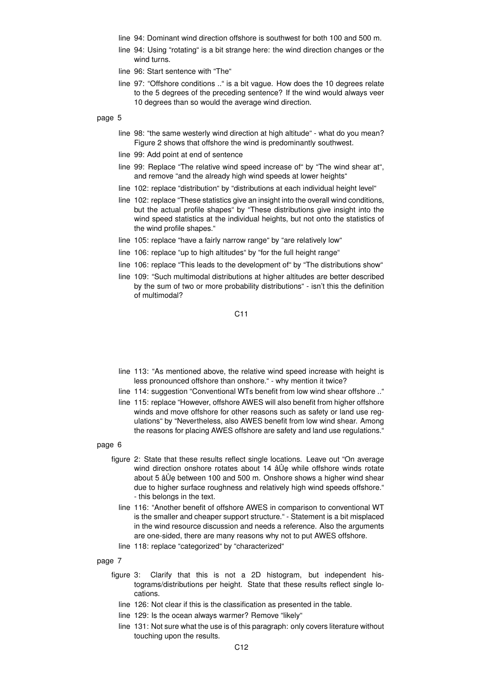- line 94: Dominant wind direction offshore is southwest for both 100 and 500 m.
- line 94: Using "rotating" is a bit strange here: the wind direction changes or the wind turns.
- line 96: Start sentence with "The"
- line 97: "Offshore conditions .." is a bit vague. How does the 10 degrees relate to the 5 degrees of the preceding sentence? If the wind would always veer 10 degrees than so would the average wind direction.

- line 98: "the same westerly wind direction at high altitude" what do you mean? Figure 2 shows that offshore the wind is predominantly southwest.
- line 99: Add point at end of sentence
- line 99: Replace "The relative wind speed increase of" by "The wind shear at", and remove "and the already high wind speeds at lower heights"
- line 102: replace "distribution" by "distributions at each individual height level"
- line 102: replace "These statistics give an insight into the overall wind conditions, but the actual profile shapes" by "These distributions give insight into the wind speed statistics at the individual heights, but not onto the statistics of the wind profile shapes."
- line 105: replace "have a fairly narrow range" by "are relatively low"
- line 106: replace "up to high altitudes" by "for the full height range"
- line 106: replace "This leads to the development of" by "The distributions show"
- line 109: "Such multimodal distributions at higher altitudes are better described by the sum of two or more probability distributions" - isn't this the definition of multimodal?

C11

- line 113: "As mentioned above, the relative wind speed increase with height is less pronounced offshore than onshore." - why mention it twice?
- line 114: suggestion "Conventional WTs benefit from low wind shear offshore .."
- line 115: replace "However, offshore AWES will also benefit from higher offshore winds and move offshore for other reasons such as safety or land use regulations" by "Nevertheless, also AWES benefit from low wind shear. Among the reasons for placing AWES offshore are safety and land use regulations."
- page 6
	- figure 2: State that these results reflect single locations. Leave out "On average wind direction onshore rotates about 14  $\hat{a} \hat{U}$ e while offshore winds rotate about 5 â Ue between 100 and 500 m. Onshore shows a higher wind shear due to higher surface roughness and relatively high wind speeds offshore." - this belongs in the text.
		- line 116: "Another benefit of offshore AWES in comparison to conventional WT is the smaller and cheaper support structure." - Statement is a bit misplaced in the wind resource discussion and needs a reference. Also the arguments are one-sided, there are many reasons why not to put AWES offshore.
		- line 118: replace "categorized" by "characterized"
- page 7
	- figure 3: Clarify that this is not a 2D histogram, but independent histograms/distributions per height. State that these results reflect single locations.
		- line 126: Not clear if this is the classification as presented in the table.
		- line 129: Is the ocean always warmer? Remove "likely"
		- line 131: Not sure what the use is of this paragraph: only covers literature without touching upon the results.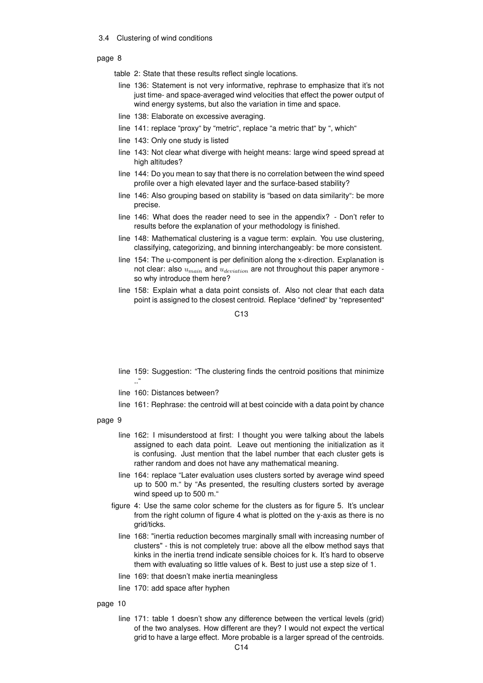## 3.4 Clustering of wind conditions

## page 8

- table 2: State that these results reflect single locations.
- line 136: Statement is not very informative, rephrase to emphasize that it's not just time- and space-averaged wind velocities that effect the power output of wind energy systems, but also the variation in time and space.
- line 138: Elaborate on excessive averaging.
- line 141: replace "proxy" by "metric", replace "a metric that" by ", which"
- line 143: Only one study is listed
- line 143: Not clear what diverge with height means: large wind speed spread at high altitudes?
- line 144: Do you mean to say that there is no correlation between the wind speed profile over a high elevated layer and the surface-based stability?
- line 146: Also grouping based on stability is "based on data similarity": be more precise.
- line 146: What does the reader need to see in the appendix? Don't refer to results before the explanation of your methodology is finished.
- line 148: Mathematical clustering is a vague term: explain. You use clustering, classifying, categorizing, and binning interchangeably: be more consistent.
- line 154: The u-component is per definition along the x-direction. Explanation is not clear: also  $u_{main}$  and  $u_{deviation}$  are not throughout this paper anymore so why introduce them here?
- line 158: Explain what a data point consists of. Also not clear that each data point is assigned to the closest centroid. Replace "defined" by "represented"

 $C<sub>13</sub>$ 

- line 159: Suggestion: "The clustering finds the centroid positions that minimize .."
- line 160: Distances between?
- line 161: Rephrase: the centroid will at best coincide with a data point by chance

## page 9

- line 162: I misunderstood at first: I thought you were talking about the labels assigned to each data point. Leave out mentioning the initialization as it is confusing. Just mention that the label number that each cluster gets is rather random and does not have any mathematical meaning.
- line 164: replace "Later evaluation uses clusters sorted by average wind speed up to 500 m." by "As presented, the resulting clusters sorted by average wind speed up to 500 m."
- figure 4: Use the same color scheme for the clusters as for figure 5. It's unclear from the right column of figure 4 what is plotted on the y-axis as there is no grid/ticks.
	- line 168: "inertia reduction becomes marginally small with increasing number of clusters" - this is not completely true: above all the elbow method says that kinks in the inertia trend indicate sensible choices for k. It's hard to observe them with evaluating so little values of k. Best to just use a step size of 1.
	- line 169: that doesn't make inertia meaningless
	- line 170: add space after hyphen

## page 10

line 171: table 1 doesn't show any difference between the vertical levels (grid) of the two analyses. How different are they? I would not expect the vertical grid to have a large effect. More probable is a larger spread of the centroids.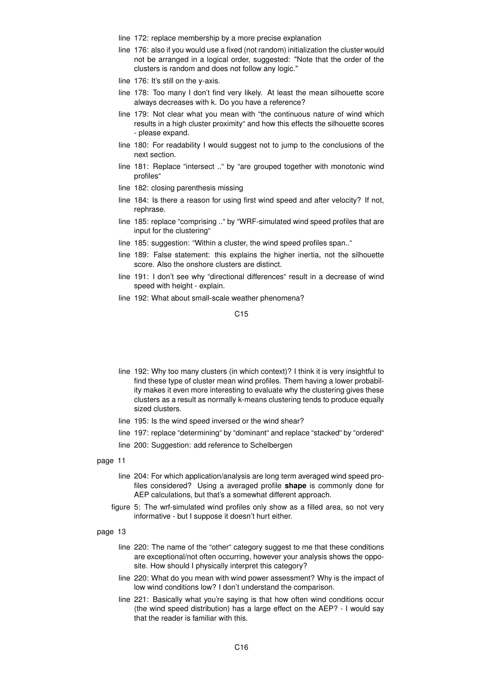- line 172: replace membership by a more precise explanation
- line 176: also if you would use a fixed (not random) initialization the cluster would not be arranged in a logical order, suggested: "Note that the order of the clusters is random and does not follow any logic."
- line 176: It's still on the y-axis.
- line 178: Too many I don't find very likely. At least the mean silhouette score always decreases with k. Do you have a reference?
- line 179: Not clear what you mean with "the continuous nature of wind which results in a high cluster proximity" and how this effects the silhouette scores - please expand.
- line 180: For readability I would suggest not to jump to the conclusions of the next section.
- line 181: Replace "intersect .." by "are grouped together with monotonic wind profiles"
- line 182: closing parenthesis missing
- line 184: Is there a reason for using first wind speed and after velocity? If not, rephrase.
- line 185: replace "comprising .." by "WRF-simulated wind speed profiles that are input for the clustering"
- line 185: suggestion: "Within a cluster, the wind speed profiles span.."
- line 189: False statement: this explains the higher inertia, not the silhouette score. Also the onshore clusters are distinct.
- line 191: I don't see why "directional differences" result in a decrease of wind speed with height - explain.
- line 192: What about small-scale weather phenomena?

C<sub>15</sub>

- line 192: Why too many clusters (in which context)? I think it is very insightful to find these type of cluster mean wind profiles. Them having a lower probability makes it even more interesting to evaluate why the clustering gives these clusters as a result as normally k-means clustering tends to produce equally sized clusters.
- line 195: Is the wind speed inversed or the wind shear?
- line 197: replace "determining" by "dominant" and replace "stacked" by "ordered"
- line 200: Suggestion: add reference to Schelbergen

#### page 11

- line 204: For which application/analysis are long term averaged wind speed profiles considered? Using a averaged profile **shape** is commonly done for AEP calculations, but that's a somewhat different approach.
- figure 5: The wrf-simulated wind profiles only show as a filled area, so not very informative - but I suppose it doesn't hurt either.

- line 220: The name of the "other" category suggest to me that these conditions are exceptional/not often occurring, however your analysis shows the opposite. How should I physically interpret this category?
- line 220: What do you mean with wind power assessment? Why is the impact of low wind conditions low? I don't understand the comparison.
- line 221: Basically what you're saying is that how often wind conditions occur (the wind speed distribution) has a large effect on the AEP? - I would say that the reader is familiar with this.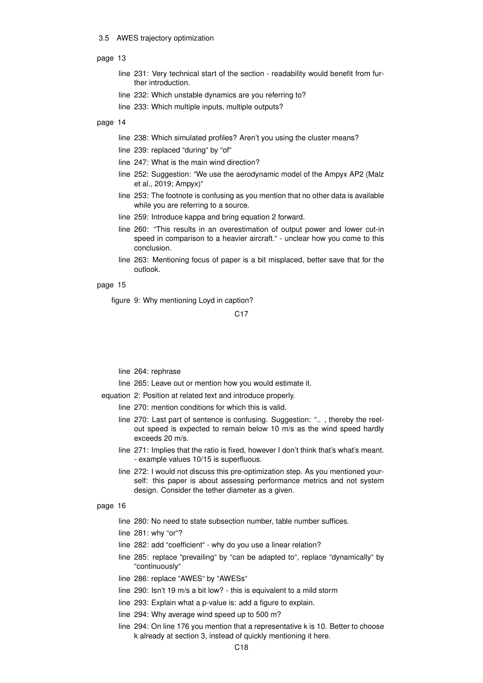## 3.5 AWES trajectory optimization

## page 13

- line 231: Very technical start of the section readability would benefit from further introduction.
- line 232: Which unstable dynamics are you referring to?
- line 233: Which multiple inputs, multiple outputs?

# page 14

- line 238: Which simulated profiles? Aren't you using the cluster means?
- line 239: replaced "during" by "of"
- line 247: What is the main wind direction?
- line 252: Suggestion: "We use the aerodynamic model of the Ampyx AP2 (Malz et al., 2019; Ampyx)"
- line 253: The footnote is confusing as you mention that no other data is available while you are referring to a source.
- line 259: Introduce kappa and bring equation 2 forward.
- line 260: "This results in an overestimation of output power and lower cut-in speed in comparison to a heavier aircraft." - unclear how you come to this conclusion.
- line 263: Mentioning focus of paper is a bit misplaced, better save that for the outlook.

# page 15

figure 9: Why mentioning Loyd in caption?

C17

# line 264: rephrase

line 265: Leave out or mention how you would estimate it.

equation 2: Position at related text and introduce properly.

- line 270: mention conditions for which this is valid.
	- line 270: Last part of sentence is confusing. Suggestion: ".. , thereby the reelout speed is expected to remain below 10 m/s as the wind speed hardly exceeds 20 m/s.
	- line 271: Implies that the ratio is fixed, however I don't think that's what's meant. - example values 10/15 is superfluous.
	- line 272: I would not discuss this pre-optimization step. As you mentioned yourself: this paper is about assessing performance metrics and not system design. Consider the tether diameter as a given.

- line 280: No need to state subsection number, table number suffices.
- line 281: why "or"?
- line 282: add "coefficient" why do you use a linear relation?
- line 285: replace "prevailing" by "can be adapted to", replace "dynamically" by "continuously"
- line 286: replace "AWES" by "AWESs"
- line 290: Isn't 19 m/s a bit low? this is equivalent to a mild storm
- line 293: Explain what a p-value is: add a figure to explain.
- line 294: Why average wind speed up to 500 m?
- line 294: On line 176 you mention that a representative k is 10. Better to choose k already at section 3, instead of quickly mentioning it here.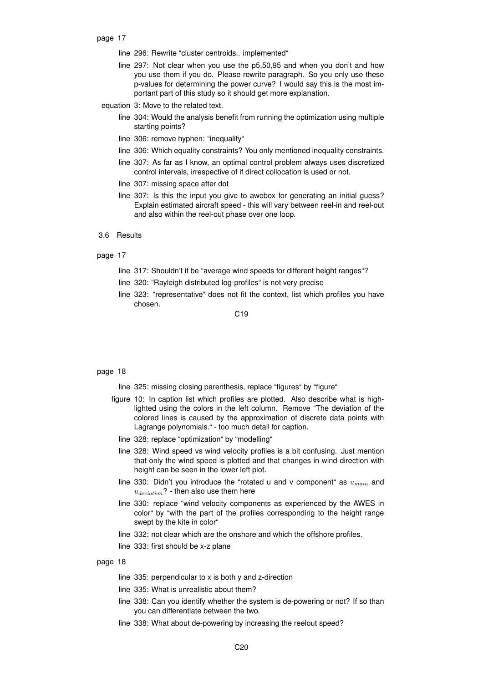- page 17
	- line 296: Rewrite "cluster centroids.. implemented"
	- line 297: Not clear when you use the p5,50,95 and when you don't and how you use them if you do. Please rewrite paragraph. So you only use these p-values for determining the power curve? I would say this is the most important part of this study so it should get more explanation.
	- equation 3: Move to the related text.
		- line 304: Would the analysis benefit from running the optimization using multiple starting points?
		- line 306: remove hyphen: "inequality"
		- line 306: Which equality constraints? You only mentioned inequality constraints.
		- line 307: As far as I know, an optimal control problem always uses discretized control intervals, irrespective of if direct collocation is used or not.
		- line 307: missing space after dot
		- line 307: Is this the input you give to awebox for generating an initial guess? Explain estimated aircraft speed - this will vary between reel-in and reel-out and also within the reel-out phase over one loop.
- 3.6 Results

- line 317: Shouldn't it be "average wind speeds for different height ranges"?
- line 320: "Rayleigh distributed log-profiles" is not very precise
- line 323: "representative" does not fit the context, list which profiles you have chosen.

 $C<sub>19</sub>$ 

## page 18

- line 325: missing closing parenthesis, replace "figures" by "figure"
- figure 10: In caption list which profiles are plotted. Also describe what is highlighted using the colors in the left column. Remove "The deviation of the colored lines is caused by the approximation of discrete data points with Lagrange polynomials." - too much detail for caption.
	- line 328: replace "optimization" by "modelling"
	- line 328: Wind speed vs wind velocity profiles is a bit confusing. Just mention that only the wind speed is plotted and that changes in wind direction with height can be seen in the lower left plot.
	- line 330: Didn't you introduce the "rotated u and v component" as  $u_{main}$  and  $u_{deviation}$ ? - then also use them here
	- line 330: replace "wind velocity components as experienced by the AWES in color" by "with the part of the profiles corresponding to the height range swept by the kite in color"
	- line 332: not clear which are the onshore and which the offshore profiles.
	- line 333: first should be x-z plane

- line 335: perpendicular to x is both y and z-direction
- line 335: What is unrealistic about them?
- line 338: Can you identify whether the system is de-powering or not? If so than you can differentiate between the two.
- line 338: What about de-powering by increasing the reelout speed?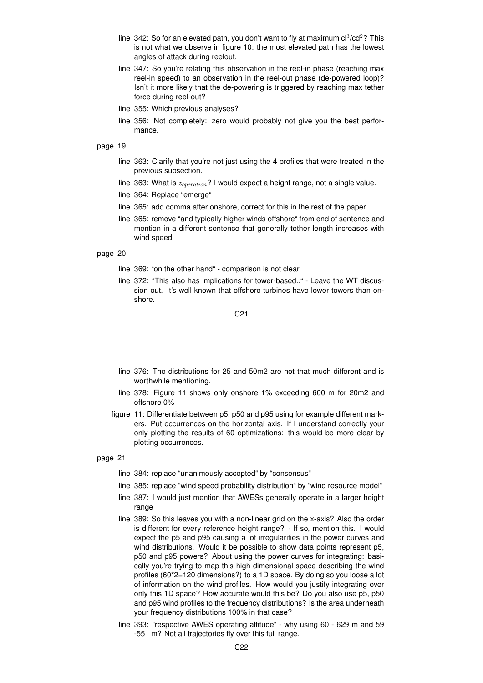- line 342: So for an elevated path, you don't want to fly at maximum  $cl^3/cd^2$ ? This is not what we observe in figure 10: the most elevated path has the lowest angles of attack during reelout.
- line 347: So you're relating this observation in the reel-in phase (reaching max reel-in speed) to an observation in the reel-out phase (de-powered loop)? Isn't it more likely that the de-powering is triggered by reaching max tether force during reel-out?
- line 355: Which previous analyses?
- line 356: Not completely: zero would probably not give you the best performance.

- line 363: Clarify that you're not just using the 4 profiles that were treated in the previous subsection.
- line 363: What is  $z_{operation}$ ? I would expect a height range, not a single value.
- line 364: Replace "emerge"
- line 365: add comma after onshore, correct for this in the rest of the paper
- line 365: remove "and typically higher winds offshore" from end of sentence and mention in a different sentence that generally tether length increases with wind speed

# page 20

- line 369: "on the other hand" comparison is not clear
- line 372: "This also has implications for tower-based.." Leave the WT discussion out. It's well known that offshore turbines have lower towers than onshore.

C21

- line 376: The distributions for 25 and 50m2 are not that much different and is worthwhile mentioning.
- line 378: Figure 11 shows only onshore 1% exceeding 600 m for 20m2 and offshore 0%
- figure 11: Differentiate between p5, p50 and p95 using for example different markers. Put occurrences on the horizontal axis. If I understand correctly your only plotting the results of 60 optimizations: this would be more clear by plotting occurrences.

- line 384: replace "unanimously accepted" by "consensus"
- line 385: replace "wind speed probability distribution" by "wind resource model"
- line 387: I would just mention that AWESs generally operate in a larger height range
- line 389: So this leaves you with a non-linear grid on the x-axis? Also the order is different for every reference height range? - If so, mention this. I would expect the p5 and p95 causing a lot irregularities in the power curves and wind distributions. Would it be possible to show data points represent p5, p50 and p95 powers? About using the power curves for integrating: basically you're trying to map this high dimensional space describing the wind profiles (60\*2=120 dimensions?) to a 1D space. By doing so you loose a lot of information on the wind profiles. How would you justify integrating over only this 1D space? How accurate would this be? Do you also use p5, p50 and p95 wind profiles to the frequency distributions? Is the area underneath your frequency distributions 100% in that case?
- line 393: "respective AWES operating altitude" why using 60 629 m and 59 -551 m? Not all trajectories fly over this full range.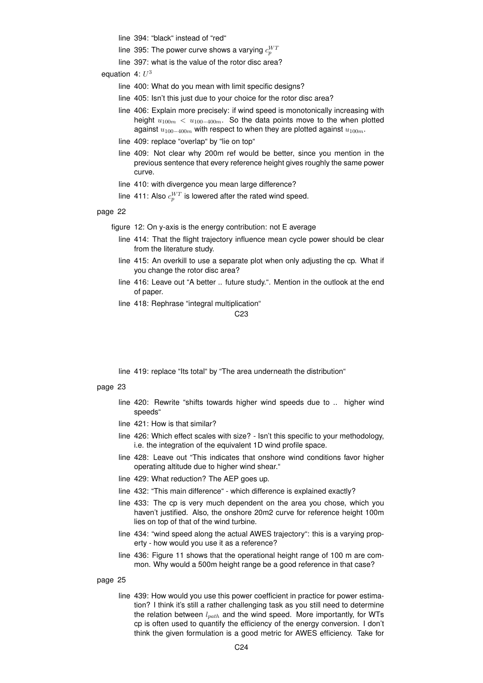line 394: "black" instead of "red"

- line 395: The power curve shows a varying  $c_{p}^{W T}$
- line 397: what is the value of the rotor disc area?

equation 4:  $U^3$ 

- line 400: What do you mean with limit specific designs?
- line 405: Isn't this just due to your choice for the rotor disc area?
- line 406: Explain more precisely: if wind speed is monotonically increasing with height  $u_{100m} < u_{100-400m}$ . So the data points move to the when plotted against  $u_{100-400m}$  with respect to when they are plotted against  $u_{100m}$ .
- line 409: replace "overlap" by "lie on top"
- line 409: Not clear why 200m ref would be better, since you mention in the previous sentence that every reference height gives roughly the same power curve.
- line 410: with divergence you mean large difference?
- line 411: Also  $c_p^{WT}$  is lowered after the rated wind speed.

# page 22

figure 12: On y-axis is the energy contribution: not E average

- line 414: That the flight trajectory influence mean cycle power should be clear from the literature study.
- line 415: An overkill to use a separate plot when only adjusting the cp. What if you change the rotor disc area?
- line 416: Leave out "A better .. future study.". Mention in the outlook at the end of paper.
- line 418: Rephrase "integral multiplication"

#### C23

line 419: replace "Its total" by "The area underneath the distribution"

## page 23

- line 420: Rewrite "shifts towards higher wind speeds due to .. higher wind speeds"
- line 421: How is that similar?
- line 426: Which effect scales with size? Isn't this specific to your methodology, i.e. the integration of the equivalent 1D wind profile space.
- line 428: Leave out "This indicates that onshore wind conditions favor higher operating altitude due to higher wind shear."
- line 429: What reduction? The AEP goes up.
- line 432: "This main difference" which difference is explained exactly?
- line 433: The cp is very much dependent on the area you chose, which you haven't justified. Also, the onshore 20m2 curve for reference height 100m lies on top of that of the wind turbine.
- line 434: "wind speed along the actual AWES trajectory": this is a varying property - how would you use it as a reference?
- line 436: Figure 11 shows that the operational height range of 100 m are common. Why would a 500m height range be a good reference in that case?

page 25

line 439: How would you use this power coefficient in practice for power estimation? I think it's still a rather challenging task as you still need to determine the relation between  $l_{path}$  and the wind speed. More importantly, for WTs cp is often used to quantify the efficiency of the energy conversion. I don't think the given formulation is a good metric for AWES efficiency. Take for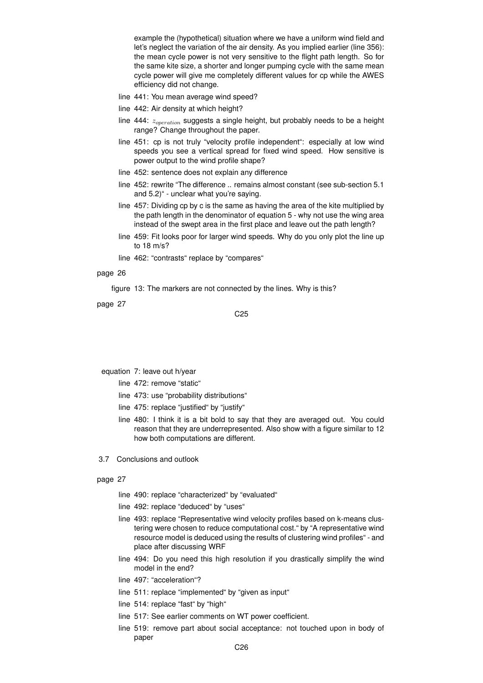example the (hypothetical) situation where we have a uniform wind field and let's neglect the variation of the air density. As you implied earlier (line 356): the mean cycle power is not very sensitive to the flight path length. So for the same kite size, a shorter and longer pumping cycle with the same mean cycle power will give me completely different values for cp while the AWES efficiency did not change.

- line 441: You mean average wind speed?
- line 442: Air density at which height?
- line 444:  $z_{operation}$  suggests a single height, but probably needs to be a height range? Change throughout the paper.
- line 451: cp is not truly "velocity profile independent": especially at low wind speeds you see a vertical spread for fixed wind speed. How sensitive is power output to the wind profile shape?
- line 452: sentence does not explain any difference
- line 452: rewrite "The difference .. remains almost constant (see sub-section 5.1 and 5.2)" - unclear what you're saying.
- line 457: Dividing cp by c is the same as having the area of the kite multiplied by the path length in the denominator of equation 5 - why not use the wing area instead of the swept area in the first place and leave out the path length?
- line 459: Fit looks poor for larger wind speeds. Why do you only plot the line up to 18 m/s?
- line 462: "contrasts" replace by "compares"

# page 26

figure 13: The markers are not connected by the lines. Why is this?

page 27

C25

equation 7: leave out h/year

- line 472: remove "static"
- line 473: use "probability distributions"
- line 475: replace "justified" by "justify"
- line 480: I think it is a bit bold to say that they are averaged out. You could reason that they are underrepresented. Also show with a figure similar to 12 how both computations are different.
- 3.7 Conclusions and outlook

- line 490: replace "characterized" by "evaluated"
- line 492: replace "deduced" by "uses"
- line 493: replace "Representative wind velocity profiles based on k-means clustering were chosen to reduce computational cost." by "A representative wind resource model is deduced using the results of clustering wind profiles" - and place after discussing WRF
- line 494: Do you need this high resolution if you drastically simplify the wind model in the end?
- line 497: "acceleration"?
- line 511: replace "implemented" by "given as input"
- line 514: replace "fast" by "high"
- line 517: See earlier comments on WT power coefficient.
- line 519: remove part about social acceptance: not touched upon in body of paper